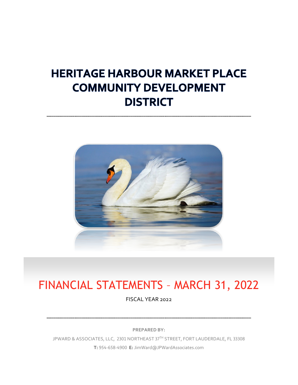# **HERITAGE HARBOUR MARKET PLACE COMMUNITY DEVELOPMENT DISTRICT**



# FINANCIAL STATEMENTS – MARCH 31, 2022

FISCAL YEAR 2022

**PREPARED BY:**

JPWARD & ASSOCIATES, LLC, 2301 NORTHEAST 37TH STREET, FORT LAUDERDALE, FL 33308 **T:** 954-658-4900 **E:** JimWard@JPWardAssociates.com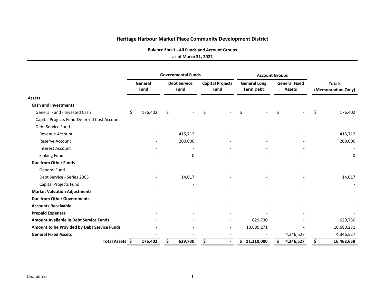**Balance Sheet ‐ All Funds and Account Groups**

**as of March 31, 2022**

|                                               |    |                 | <b>Governmental Funds</b>   |                                        | <b>Account Groups</b>                   |     |                                       |                                    |                          |
|-----------------------------------------------|----|-----------------|-----------------------------|----------------------------------------|-----------------------------------------|-----|---------------------------------------|------------------------------------|--------------------------|
|                                               |    | General<br>Fund | <b>Debt Service</b><br>Fund | <b>Capital Projects</b><br><b>Fund</b> | <b>General Long</b><br><b>Term Debt</b> |     | <b>General Fixed</b><br><b>Assets</b> | <b>Totals</b><br>(Memorandum Only) |                          |
| <b>Assets</b>                                 |    |                 |                             |                                        |                                         |     |                                       |                                    |                          |
| <b>Cash and Investments</b>                   |    |                 |                             |                                        |                                         |     |                                       |                                    |                          |
| General Fund - Invested Cash                  | \$ | 176,402         | \$                          | \$                                     | \$                                      | \$  |                                       | \$                                 | 176,402                  |
| Capital Projects Fund-Deferred Cost Account   |    |                 |                             |                                        |                                         |     |                                       |                                    |                          |
| Debt Service Fund                             |    |                 |                             |                                        |                                         |     |                                       |                                    |                          |
| <b>Revenue Account</b>                        |    |                 | 415,712                     |                                        |                                         |     |                                       |                                    | 415,712                  |
| <b>Reserve Account</b>                        |    |                 | 200,000                     |                                        |                                         |     |                                       |                                    | 200,000                  |
| <b>Interest Account</b>                       |    |                 |                             |                                        |                                         |     |                                       |                                    |                          |
| Sinking Fund                                  |    |                 | $\Omega$                    |                                        |                                         |     |                                       |                                    | 0                        |
| Due from Other Funds                          |    |                 |                             |                                        |                                         |     |                                       |                                    |                          |
| <b>General Fund</b>                           |    |                 |                             |                                        |                                         |     |                                       |                                    |                          |
| Debt Service - Series 2005                    |    |                 | 14,017                      |                                        |                                         |     |                                       |                                    | 14,017                   |
| Capital Projects Fund                         |    |                 |                             |                                        |                                         |     |                                       |                                    | $\overline{\phantom{a}}$ |
| <b>Market Valuation Adjustments</b>           |    |                 |                             |                                        |                                         |     |                                       |                                    |                          |
| <b>Due from Other Governments</b>             |    |                 |                             |                                        |                                         |     |                                       |                                    |                          |
| <b>Accounts Receivable</b>                    |    |                 |                             |                                        |                                         |     |                                       |                                    |                          |
| <b>Prepaid Expenses</b>                       |    |                 |                             |                                        |                                         |     |                                       |                                    |                          |
| <b>Amount Available in Debt Service Funds</b> |    |                 |                             |                                        | 629,730                                 |     |                                       |                                    | 629,730                  |
| Amount to be Provided by Debt Service Funds   |    |                 |                             | $\overline{\phantom{a}}$               | 10,680,271                              |     |                                       |                                    | 10,680,271               |
| <b>General Fixed Assets</b>                   |    |                 |                             |                                        |                                         |     | 4,346,527                             |                                    | 4,346,527                |
| Total Assets \$                               |    | 176,402         | \$<br>629,730               | \$<br>$\overline{\phantom{0}}$         | \$11,310,000                            | \$. | 4,346,527                             | \$                                 | 16,462,658               |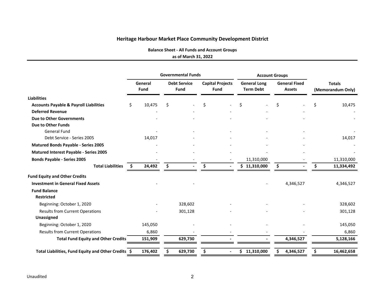**Balance Sheet ‐ All Funds and Account Groups**

#### **as of March 31, 2022**

|                                                     |      |                 | <b>Governmental Funds</b>          |                                        |                                         | <b>Account Groups</b> |    |                                       |                                    |            |  |
|-----------------------------------------------------|------|-----------------|------------------------------------|----------------------------------------|-----------------------------------------|-----------------------|----|---------------------------------------|------------------------------------|------------|--|
|                                                     |      | General<br>Fund | <b>Debt Service</b><br><b>Fund</b> | <b>Capital Projects</b><br><b>Fund</b> | <b>General Long</b><br><b>Term Debt</b> |                       |    | <b>General Fixed</b><br><b>Assets</b> | <b>Totals</b><br>(Memorandum Only) |            |  |
| <b>Liabilities</b>                                  |      |                 |                                    |                                        |                                         |                       |    |                                       |                                    |            |  |
| <b>Accounts Payable &amp; Payroll Liabilities</b>   | \$   | 10,475          | \$                                 | \$                                     | Ś                                       |                       | Ś. |                                       | Ś                                  | 10,475     |  |
| <b>Deferred Revenue</b>                             |      |                 |                                    |                                        |                                         |                       |    |                                       |                                    |            |  |
| <b>Due to Other Governments</b>                     |      |                 |                                    |                                        |                                         |                       |    |                                       |                                    |            |  |
| Due to Other Funds                                  |      |                 |                                    |                                        |                                         |                       |    |                                       |                                    |            |  |
| <b>General Fund</b>                                 |      |                 |                                    |                                        |                                         |                       |    |                                       |                                    |            |  |
| Debt Service - Series 2005                          |      | 14,017          |                                    |                                        |                                         |                       |    |                                       |                                    | 14,017     |  |
| Matured Bonds Payable - Series 2005                 |      |                 |                                    |                                        |                                         |                       |    |                                       |                                    |            |  |
| Matured Interest Payable - Series 2005              |      |                 |                                    |                                        |                                         |                       |    |                                       |                                    |            |  |
| <b>Bonds Payable - Series 2005</b>                  |      |                 |                                    |                                        |                                         | 11,310,000            |    |                                       |                                    | 11,310,000 |  |
| <b>Total Liabilities</b>                            | - \$ | 24,492          | \$                                 | \$                                     |                                         | \$11,310,000          | \$ |                                       | Ŝ.                                 | 11,334,492 |  |
| <b>Fund Equity and Other Credits</b>                |      |                 |                                    |                                        |                                         |                       |    |                                       |                                    |            |  |
| <b>Investment in General Fixed Assets</b>           |      |                 |                                    |                                        |                                         |                       |    | 4,346,527                             |                                    | 4,346,527  |  |
| <b>Fund Balance</b>                                 |      |                 |                                    |                                        |                                         |                       |    |                                       |                                    |            |  |
| <b>Restricted</b>                                   |      |                 |                                    |                                        |                                         |                       |    |                                       |                                    |            |  |
| Beginning: October 1, 2020                          |      |                 | 328,602                            |                                        |                                         |                       |    |                                       |                                    | 328,602    |  |
| <b>Results from Current Operations</b>              |      |                 | 301,128                            |                                        |                                         |                       |    |                                       |                                    | 301,128    |  |
| <b>Unassigned</b>                                   |      |                 |                                    |                                        |                                         |                       |    |                                       |                                    |            |  |
| Beginning: October 1, 2020                          |      | 145,050         |                                    |                                        |                                         |                       |    |                                       |                                    | 145,050    |  |
| <b>Results from Current Operations</b>              |      | 6,860           |                                    |                                        |                                         |                       |    |                                       |                                    | 6,860      |  |
| <b>Total Fund Equity and Other Credits</b>          |      | 151,909         | 629,730                            |                                        |                                         |                       |    | 4,346,527                             |                                    | 5,128,166  |  |
| Total Liabilities, Fund Equity and Other Credits \$ |      | 176,402         | 629,730                            | \$                                     |                                         | \$11,310,000          | S  | 4,346,527                             | S                                  | 16,462,658 |  |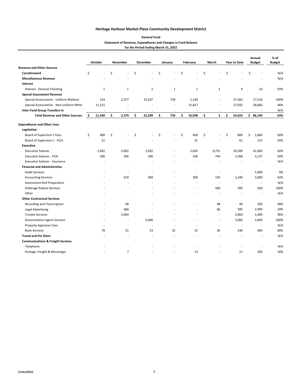| <b>General Fund</b>                                            |
|----------------------------------------------------------------|
| Statement of Revenue, Expenditures and Changes in Fund Balance |
| for the Period Ending March 31, 2022                           |

|                                              |     | October                  |    | November       | <b>December</b> | January                  | February             | March                    |    | Year to Date             | Annual<br><b>Budget</b>  | % of<br><b>Budget</b> |
|----------------------------------------------|-----|--------------------------|----|----------------|-----------------|--------------------------|----------------------|--------------------------|----|--------------------------|--------------------------|-----------------------|
| <b>Revenue and Other Sources</b>             |     |                          |    |                |                 |                          |                      |                          |    |                          |                          |                       |
| Carryforward                                 | \$  |                          | Ś  | $\overline{a}$ | \$              | \$<br>$\overline{a}$     | \$<br>$\overline{a}$ | \$                       | Ś  |                          | \$                       | N/A                   |
| <b>Miscellaneous Revenue</b>                 |     |                          |    |                |                 |                          |                      |                          |    |                          |                          | N/A                   |
| Interest                                     |     |                          |    |                |                 |                          |                      |                          |    |                          |                          |                       |
| Interest - General Checking                  |     | $\mathbf{1}$             |    | $\mathbf{1}$   | $\overline{2}$  | $\mathbf{1}$             | $\mathbf{1}$         | $\overline{2}$           |    | 9                        | 10                       | 93%                   |
| <b>Special Assessment Revenue</b>            |     |                          |    |                |                 |                          |                      |                          |    |                          |                          |                       |
| Special Assessments - Uniform Method         |     | 124                      |    | 2,377          | 23,207          | 734                      | 1,140                | $\overline{a}$           |    | 27,582                   | 27,518                   | 100%                  |
| Special Assessments - Non-Uniform Mthd       |     | 11,215                   |    |                |                 | $\overline{\phantom{a}}$ | 15,817               |                          |    | 27,032                   | 58,666                   | 46%                   |
| <b>Inter-Fund Group Transfers In</b>         |     |                          |    | $\overline{a}$ |                 | $\overline{a}$           |                      | L,                       |    |                          |                          | N/A                   |
| <b>Total Revenue and Other Sources:</b>      | -\$ | 11,340                   | \$ | 2,379          | \$<br>23,209    | \$<br>735                | \$<br>16,958         | \$<br>$\mathbf{2}$       | \$ | 54,623                   | \$86,194                 | 63%                   |
| <b>Expenditures and Other Uses</b>           |     |                          |    |                |                 |                          |                      |                          |    |                          |                          |                       |
| Legislative                                  |     |                          |    |                |                 |                          |                      |                          |    |                          |                          |                       |
| Board of Supervisor's Fees                   | \$  | 400                      | Ś  |                | \$              | \$                       | \$<br>400            | \$<br>٠                  | \$ | 800                      | \$<br>1,600              | 50%                   |
| Board of Supervisor's - FICA                 |     | 31                       |    |                |                 |                          | 31                   |                          |    | 61                       | 122                      | 50%                   |
| <b>Executive</b>                             |     |                          |    |                |                 |                          |                      |                          |    |                          |                          |                       |
| <b>Executive Salaries</b>                    |     | 2,692                    |    | 2,692          | 2,692           | $\overline{a}$           | 2,692                | 9,731                    |    | 20,500                   | 41,000                   | 50%                   |
| <b>Executive Salaries - FICA</b>             |     | 206                      |    | 206            | 206             |                          | 206                  | 744                      |    | 1,568                    | 3,137                    | 50%                   |
| <b>Executive Salaries - Insurance</b>        |     |                          |    |                |                 |                          |                      |                          |    |                          |                          | N/A                   |
| <b>Financial and Administrative</b>          |     |                          |    |                |                 |                          |                      |                          |    |                          |                          |                       |
| <b>Audit Services</b>                        |     |                          |    | L,             |                 |                          | $\overline{a}$       | L,                       |    |                          | 5,900                    | 0%                    |
| <b>Accounting Services</b>                   |     |                          |    | 410            | 389             |                          | 300                  | 150                      |    | 1,249                    | 3,000                    | 42%                   |
| Assessment Roll Preparation                  |     |                          |    |                |                 |                          |                      |                          |    | $\overline{\phantom{a}}$ | $\overline{\phantom{a}}$ | N/A                   |
| Arbitrage Rebate Services                    |     |                          |    |                |                 |                          | L,                   | 500                      |    | 500                      | 500                      | 100%                  |
| Other                                        |     |                          |    |                |                 |                          |                      |                          |    |                          |                          | N/A                   |
| <b>Other Contractual Services</b>            |     |                          |    |                |                 |                          |                      |                          |    |                          |                          |                       |
| Recording and Transcription                  |     |                          |    | 48             |                 |                          |                      | 48                       |    | 96                       | 200                      | 48%                   |
| <b>Legal Advertising</b>                     |     |                          |    | 489            |                 |                          |                      | 96                       |    | 585                      | 2,400                    | 24%                   |
| <b>Trustee Services</b>                      |     | $\overline{\phantom{a}}$ |    | 5,064          |                 |                          | $\overline{a}$       | $\overline{\phantom{a}}$ |    | 5,064                    | 5,300                    | 96%                   |
| <b>Dissemination Agent Services</b>          |     | $\overline{\phantom{a}}$ |    | L,             | 5,000           |                          | $\overline{a}$       | $\overline{\phantom{a}}$ |    | 5,000                    | 5,000                    | 100%                  |
| <b>Property Appraiser Fees</b>               |     | $\overline{\phantom{a}}$ |    | $\overline{a}$ |                 | $\overline{a}$           | $\overline{a}$       | $\overline{\phantom{a}}$ |    | $\overline{\phantom{a}}$ | $\overline{\phantom{a}}$ | N/A                   |
| <b>Bank Services</b>                         |     | 78                       |    | 31             | 33              | 32                       | 31                   | 36                       |    | 240                      | 400                      | 60%                   |
| <b>Travel and Per Diem</b>                   |     |                          |    |                |                 |                          |                      |                          |    |                          |                          | N/A                   |
| <b>Communications &amp; Freight Services</b> |     |                          |    |                |                 |                          |                      |                          |    |                          |                          |                       |
| Telephone                                    |     |                          |    |                |                 |                          |                      |                          |    |                          |                          | N/A                   |
| Postage, Freight & Messenger                 |     |                          |    | $\overline{7}$ |                 |                          | 13                   |                          |    | 21                       | 200                      | 10%                   |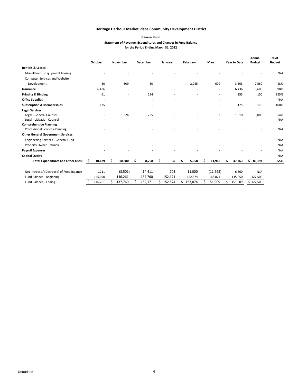| <b>General Fund</b>                                            |
|----------------------------------------------------------------|
| Statement of Revenue, Expenditures and Changes in Fund Balance |
| for the Period Ending March 31, 2022                           |

|                                            |     |                          |   |                          |    |                          |               |   |                |   |                          |   |                          | Annual                   | $%$ of        |
|--------------------------------------------|-----|--------------------------|---|--------------------------|----|--------------------------|---------------|---|----------------|---|--------------------------|---|--------------------------|--------------------------|---------------|
|                                            |     | October                  |   | November                 |    | December                 | January       |   | February       |   | March                    |   | <b>Year to Date</b>      | <b>Budget</b>            | <b>Budget</b> |
| <b>Rentals &amp; Leases</b>                |     |                          |   |                          |    |                          |               |   |                |   |                          |   |                          |                          |               |
| Miscellaneous Equipment Leasing            |     |                          |   |                          |    |                          |               |   |                |   |                          |   |                          |                          | N/A           |
| <b>Computer Services and Website</b>       |     |                          |   |                          |    |                          |               |   |                |   |                          |   |                          |                          |               |
| Development                                |     | 50                       |   | 609                      |    | 50                       |               |   | 2,285          |   | 609                      |   | 3,603                    | 7,560                    | 48%           |
| Insurance                                  |     | 6,436                    |   | $\overline{\phantom{a}}$ |    | $\overline{\phantom{a}}$ |               |   |                |   | $\overline{\phantom{a}}$ |   | 6.436                    | 6,600                    | 98%           |
| <b>Printing &amp; Binding</b>              |     | 61                       |   | $\overline{\phantom{a}}$ |    | 194                      |               |   |                |   |                          |   | 255                      | 100                      | 255%          |
| <b>Office Supplies</b>                     |     | $\overline{\phantom{a}}$ |   | $\overline{\phantom{a}}$ |    | $\overline{a}$           |               |   |                |   | $\overline{a}$           |   | $\overline{\phantom{a}}$ | $\overline{\phantom{a}}$ | N/A           |
| <b>Subscription &amp; Memberships</b>      |     | 175                      |   |                          |    |                          |               |   |                |   |                          |   | 175                      | 175                      | 100%          |
| <b>Legal Services</b>                      |     |                          |   |                          |    |                          |               |   |                |   |                          |   |                          |                          |               |
| Legal - General Counsel                    |     | $\overline{a}$           |   | 1,324                    |    | 235                      |               |   |                |   | 52                       |   | 1,610                    | 3,000                    | 54%           |
| Legal - Litigation Counsel                 |     |                          |   |                          |    |                          |               |   |                |   |                          |   |                          |                          | N/A           |
| <b>Comprehensive Planning</b>              |     |                          |   |                          |    |                          |               |   |                |   |                          |   |                          |                          |               |
| Professional Services-Planning             |     |                          |   |                          |    |                          |               |   |                |   |                          |   |                          |                          | N/A           |
| <b>Other General Government Services</b>   |     |                          |   |                          |    |                          |               |   |                |   |                          |   |                          |                          |               |
| <b>Engineering Services - General Fund</b> |     |                          |   |                          |    |                          |               |   |                |   |                          |   |                          |                          | N/A           |
| Property Owner Refunds                     |     |                          |   |                          |    | $\overline{a}$           |               |   | $\overline{a}$ |   |                          |   |                          | $\overline{\phantom{a}}$ | N/A           |
| <b>Payroll Expenses</b>                    |     |                          |   |                          |    |                          |               |   |                |   |                          |   |                          | $\overline{\phantom{a}}$ | N/A           |
| Capital Outlay                             |     |                          |   |                          |    |                          |               |   |                |   |                          |   |                          |                          | N/A           |
| <b>Total Expenditures and Other Uses:</b>  | -\$ | 10,129                   | Ŝ | 10,880                   | \$ | 8,798                    | \$<br>32      | Ś | 5,958          | Ś | 11,966                   | Ś | 47,763                   | \$<br>86,194             | 55%           |
| Net Increase/ (Decrease) of Fund Balance   |     | 1,211                    |   | (8,501)                  |    | 14,411                   | 703           |   | 11,000         |   | (11, 965)                |   | 6,860                    | N/A                      |               |
| Fund Balance - Beginning                   |     | 145,050                  |   | 146,261                  |    | 137,760                  | 152,171       |   | 152,874        |   | 163,874                  |   | 145,050                  | 127,500                  |               |
| Fund Balance - Ending                      | \$  | 146,261                  |   | 137,760                  | Ś  | 152,171                  | \$<br>152,874 |   | 163,874        |   | \$151,909                | Ś | 151,909                  | \$127,500                |               |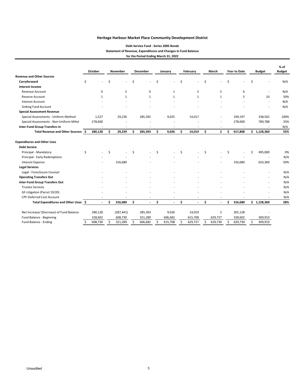#### **Debt Service Fund ‐ Series 2005 Bonds Statement of Revenue, Expenditures and Changes in Fund Balance for the Period Ending March 31, 2022**

|                                          |    | October      |     | <b>November</b> |    | December                 |     | January        | February |                |    | March                    |     | <b>Year to Date</b>      |    | <b>Budget</b>  | $%$ of<br><b>Budget</b> |  |
|------------------------------------------|----|--------------|-----|-----------------|----|--------------------------|-----|----------------|----------|----------------|----|--------------------------|-----|--------------------------|----|----------------|-------------------------|--|
| <b>Revenue and Other Sources</b>         |    |              |     |                 |    |                          |     |                |          |                |    |                          |     |                          |    |                |                         |  |
| Carryforward                             | \$ |              | \$  |                 | \$ |                          | \$  |                | \$       |                | Ś. |                          | Ś   |                          | Ś. |                | N/A                     |  |
| <b>Interest Income</b>                   |    |              |     |                 |    |                          |     |                |          |                |    |                          |     |                          |    |                |                         |  |
| Revenue Account                          |    | 0            |     | $\overline{2}$  |    | $\mathbf 0$              |     | $\mathbf{1}$   |          | $\overline{2}$ |    | $\overline{2}$           |     | 6                        |    |                | N/A                     |  |
| Reserve Account                          |    | $\mathbf{1}$ |     | $\mathbf{1}$    |    | $\mathbf{1}$             |     | $\mathbf{1}$   |          | $\mathbf{1}$   |    | $\mathbf{1}$             |     | 5                        |    | 10             | 50%                     |  |
| <b>Interest Account</b>                  |    |              |     |                 |    |                          |     |                |          |                |    |                          |     |                          |    | $\overline{a}$ | N/A                     |  |
| <b>Sinking Fund Account</b>              |    |              |     |                 |    |                          |     |                |          |                |    |                          |     |                          |    |                | N/A                     |  |
| <b>Special Assessment Revenue</b>        |    |              |     |                 |    |                          |     |                |          |                |    |                          |     |                          |    |                |                         |  |
| Special Assessments - Uniform Method     |    | 1,527        |     | 29,236          |    | 285,392                  |     | 9,025          |          | 14,017         |    |                          |     | 339,197                  |    | 338,562        | 100%                    |  |
| Special Assessments - Non-Uniform Mthd   |    | 278,600      |     |                 |    |                          |     |                |          |                |    | $\overline{a}$           |     | 278,600                  |    | 789,788        | 35%                     |  |
| <b>Inter-Fund Group Transfers In</b>     |    |              |     |                 |    |                          |     |                |          |                |    | $\overline{\phantom{a}}$ |     | $\overline{\phantom{a}}$ |    |                | N/A                     |  |
| Total Revenue and Other Sources: \$      |    | 280,128      | \$  | 29,239          | Ś  | 285,393                  | \$. | 9,026          | \$       | 14,019         | \$ | $\mathbf{2}$             | \$  | 617,808                  |    | \$1,128,360    | 55%                     |  |
| <b>Expenditures and Other Uses</b>       |    |              |     |                 |    |                          |     |                |          |                |    |                          |     |                          |    |                |                         |  |
| <b>Debt Service</b>                      |    |              |     |                 |    |                          |     |                |          |                |    |                          |     |                          |    |                |                         |  |
| Principal - Mandatory                    | \$ |              | Ś   |                 | Ś  |                          | Ś.  |                | Ś.       |                | Ś. |                          | Ś.  |                          | Ś  | 495,000        | 0%                      |  |
| Principal - Early Redemptions            |    |              |     |                 |    |                          |     |                |          |                |    |                          |     |                          |    |                | N/A                     |  |
| <b>Interest Expense</b>                  |    |              |     | 316,680         |    |                          |     |                |          |                |    |                          |     | 316,680                  |    | 633,360        | 50%                     |  |
| <b>Legal Services</b>                    |    |              |     |                 |    |                          |     |                |          |                |    |                          |     |                          |    |                |                         |  |
| Legal - Foreclosure Counsel              |    |              |     |                 |    |                          |     |                |          |                |    |                          |     |                          |    |                | N/A                     |  |
| <b>Operating Transfers Out</b>           |    |              |     |                 |    |                          |     |                |          |                |    |                          |     |                          |    |                | N/A                     |  |
| <b>Inter-Fund Group Transfers Out</b>    |    |              |     |                 |    |                          |     |                |          |                |    |                          |     |                          |    |                | N/A                     |  |
| <b>Trustee Services</b>                  |    |              |     |                 |    |                          |     |                |          |                |    |                          |     |                          |    |                | N/A                     |  |
| GF-Litigation (Parcel 19/20)             |    |              |     |                 |    |                          |     |                |          |                |    |                          |     |                          |    |                | N/A                     |  |
| <b>CPF-Deferred Cost Account</b>         |    |              |     |                 |    | $\overline{\phantom{a}}$ |     |                |          |                |    | $\overline{a}$           |     |                          |    |                | N/A                     |  |
| Total Expenditures and Other Uses: \$    |    |              | Ś   | 316,680         | \$ |                          | \$  | $\blacksquare$ | \$       |                | \$ | $\overline{a}$           | \$. | 316,680                  |    | \$1,128,360    | 28%                     |  |
| Net Increase/ (Decrease) of Fund Balance |    | 280,128      |     | (287, 441)      |    | 285,393                  |     | 9,026          |          | 14,019         |    | 2                        |     | 301,128                  |    |                |                         |  |
| Fund Balance - Beginning                 |    | 328,602      |     | 608,730         |    | 321,289                  |     | 606,682        |          | 615,708        |    | 629,727                  |     | 328,602                  |    | 309,910        |                         |  |
| Fund Balance - Ending                    |    | 608,730      | \$. | 321,289         | Ŝ. | 606,682                  | ς.  | 615,708        | \$.      | 629,727        | ς  | 629,730                  | Ŝ.  | 629,730                  | Ŝ  | 309,910        |                         |  |
|                                          |    |              |     |                 |    |                          |     |                |          |                |    |                          |     |                          |    |                |                         |  |